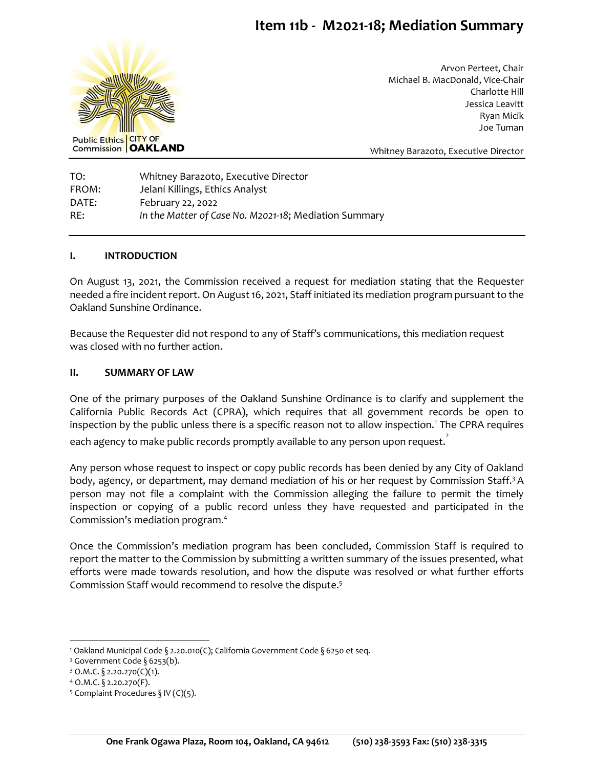# **Item 11b - M2021-18; Mediation Summary**



Arvon Perteet, Chair Michael B. MacDonald, Vice-Chair Charlotte Hill Jessica Leavitt Ryan Micik Joe Tuman

Whitney Barazoto, Executive Director

TO: Whitney Barazoto, Executive Director FROM: Jelani Killings, Ethics Analyst DATE: February 22, 2022 RE: *In the Matter of Case No. M2021-18*; Mediation Summary

#### **I. INTRODUCTION**

On August 13, 2021, the Commission received a request for mediation stating that the Requester needed a fire incident report. On August 16, 2021, Staff initiated its mediation program pursuant to the Oakland Sunshine Ordinance.

Because the Requester did not respond to any of Staff's communications, this mediation request was closed with no further action.

### **II. SUMMARY OF LAW**

One of the primary purposes of the Oakland Sunshine Ordinance is to clarify and supplement the California Public Records Act (CPRA), which requires that all government records be open to inspection by the public unless there is a specific reason not to allow inspection.<sup>1</sup> The CPRA requires each agency to make public records promptly available to any person upon request. $\mathring{\cdot}$ 

Any person whose request to inspect or copy public records has been denied by any City of Oakland body, agency, or department, may demand mediation of his or her request by Commission Staff.<sup>3</sup> A person may not file a complaint with the Commission alleging the failure to permit the timely inspection or copying of a public record unless they have requested and participated in the Commission's mediation program.<sup>4</sup>

Once the Commission's mediation program has been concluded, Commission Staff is required to report the matter to the Commission by submitting a written summary of the issues presented, what efforts were made towards resolution, and how the dispute was resolved or what further efforts Commission Staff would recommend to resolve the dispute.<sup>5</sup>

<sup>1</sup> Oakland Municipal Code § 2.20.010(C); California Government Code § 6250 et seq.

<sup>&</sup>lt;sup>2</sup> Government Code § 6253(b).

 $3$  O.M.C. § 2.20.270(C)(1).

<sup>4</sup> O.M.C. § 2.20.270(F).

<sup>&</sup>lt;sup>5</sup> Complaint Procedures § IV (C)(5).